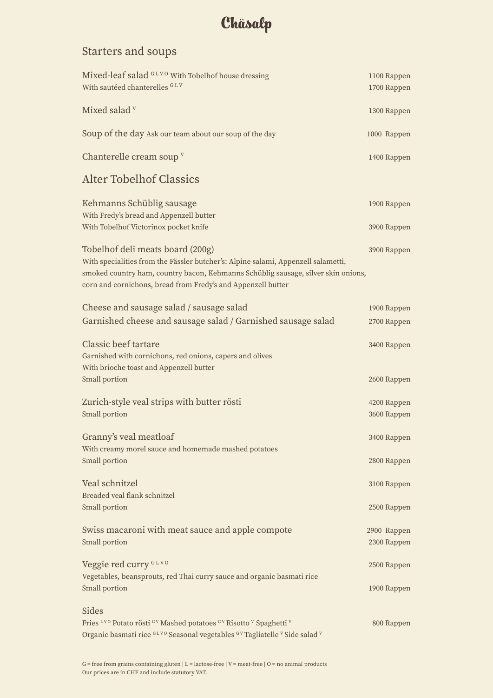### Starters and soups

| Mixed-leaf salad GLVO With Tobelhof house dressing<br>With sautéed chanterelles GLV                                                                                                                                                                                        | 1100 Rappen<br>1700 Rappen |
|----------------------------------------------------------------------------------------------------------------------------------------------------------------------------------------------------------------------------------------------------------------------------|----------------------------|
| Mixed salad v                                                                                                                                                                                                                                                              | 1300 Rappen                |
| Soup of the day Ask our team about our soup of the day                                                                                                                                                                                                                     | 1000 Rappen                |
| Chanterelle cream soup V                                                                                                                                                                                                                                                   | 1400 Rappen                |
| <b>Alter Tobelhof Classics</b>                                                                                                                                                                                                                                             |                            |
| Kehmanns Schüblig sausage                                                                                                                                                                                                                                                  | 1900 Rappen                |
| With Fredy's bread and Appenzell butter<br>With Tobelhof Victorinox pocket knife                                                                                                                                                                                           | 3900 Rappen                |
| Tobelhof deli meats board (200g)<br>With specialities from the Fässler butcher's: Alpine salami, Appenzell salametti,<br>smoked country ham, country bacon, Kehmanns Schüblig sausage, silver skin onions,<br>corn and cornichons, bread from Fredy's and Appenzell butter | 3900 Rappen                |
| Cheese and sausage salad / sausage salad                                                                                                                                                                                                                                   | 1900 Rappen                |
| Garnished cheese and sausage salad / Garnished sausage salad                                                                                                                                                                                                               | 2700 Rappen                |
| Classic beef tartare<br>Garnished with cornichons, red onions, capers and olives<br>With brioche toast and Appenzell butter                                                                                                                                                | 3400 Rappen                |
| Small portion                                                                                                                                                                                                                                                              | 2600 Rappen                |
| Zurich-style veal strips with butter rösti                                                                                                                                                                                                                                 | 4200 Rappen                |
| Small portion                                                                                                                                                                                                                                                              | 3600 Rappen                |
| Granny's veal meatloaf                                                                                                                                                                                                                                                     | 3400 Rappen                |
| With creamy morel sauce and homemade mashed potatoes<br>Small portion                                                                                                                                                                                                      | 2800 Rappen                |
| Veal schnitzel                                                                                                                                                                                                                                                             | 3100 Rappen                |
| Breaded veal flank schnitzel<br>Small portion                                                                                                                                                                                                                              | 2500 Rappen                |
| Swiss macaroni with meat sauce and apple compote<br>Small portion                                                                                                                                                                                                          | 2900 Rappen<br>2300 Rappen |
| Veggie red curry GLVO                                                                                                                                                                                                                                                      | 2500 Rappen                |
| Vegetables, beansprouts, red Thai curry sauce and organic basmati rice<br>Small portion                                                                                                                                                                                    | 1900 Rappen                |
| Sides                                                                                                                                                                                                                                                                      |                            |
| Fries <sup>LVO</sup> Potato rösti GV Mashed potatoes GV Risotto V Spaghetti V<br>Organic basmati rice GLVO Seasonal vegetables GV Tagliatelle V Side salad V                                                                                                               | 800 Rappen                 |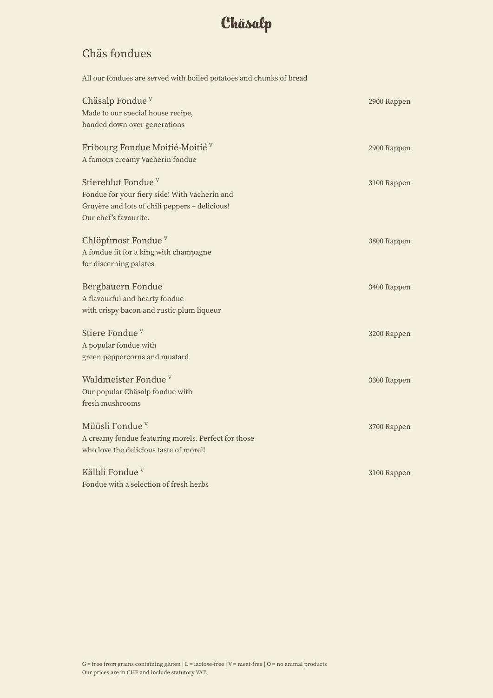#### Chäs fondues

All our fondues are served with boiled potatoes and chunks of bread

| Chäsalp Fondue <sup>v</sup><br>Made to our special house recipe,<br>handed down over generations                                                           | 2900 Rappen |
|------------------------------------------------------------------------------------------------------------------------------------------------------------|-------------|
| Fribourg Fondue Moitié-Moitié v<br>A famous creamy Vacherin fondue                                                                                         | 2900 Rappen |
| Stiereblut Fondue <sup>v</sup><br>Fondue for your fiery side! With Vacherin and<br>Gruyère and lots of chili peppers - delicious!<br>Our chef's favourite. | 3100 Rappen |
| Chlöpfmost Fondue <sup>v</sup><br>A fondue fit for a king with champagne<br>for discerning palates                                                         | 3800 Rappen |
| Bergbauern Fondue<br>A flavourful and hearty fondue<br>with crispy bacon and rustic plum liqueur                                                           | 3400 Rappen |
| Stiere Fondue <sup>v</sup><br>A popular fondue with<br>green peppercorns and mustard                                                                       | 3200 Rappen |
| Waldmeister Fondue <sup>v</sup><br>Our popular Chäsalp fondue with<br>fresh mushrooms                                                                      | 3300 Rappen |
| Müüsli Fondue <sup>v</sup><br>A creamy fondue featuring morels. Perfect for those<br>who love the delicious taste of morel!                                | 3700 Rappen |
| Kälbli Fondue <sup>v</sup><br>Fondue with a selection of fresh herbs                                                                                       | 3100 Rappen |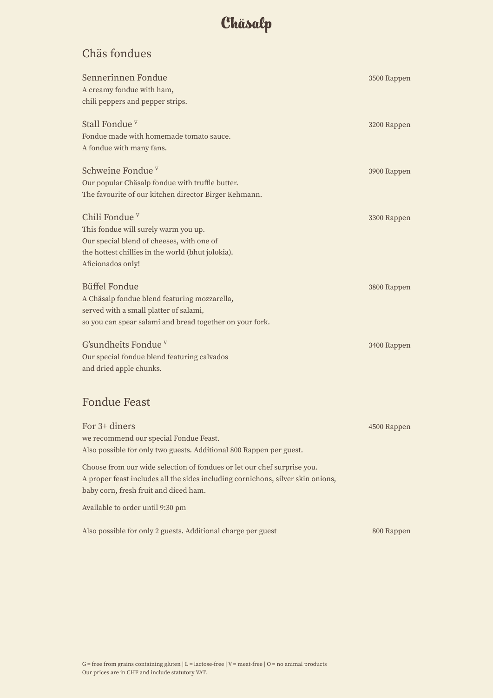#### Chäs fondues

| Sennerinnen Fondue<br>A creamy fondue with ham,<br>chili peppers and pepper strips.                                                                                                                 | 3500 Rappen |
|-----------------------------------------------------------------------------------------------------------------------------------------------------------------------------------------------------|-------------|
| Stall Fondue <sup>v</sup><br>Fondue made with homemade tomato sauce.<br>A fondue with many fans.                                                                                                    | 3200 Rappen |
| Schweine Fondue <sup>v</sup><br>Our popular Chäsalp fondue with truffle butter.<br>The favourite of our kitchen director Birger Kehmann.                                                            | 3900 Rappen |
| Chili Fondue <sup>v</sup><br>This fondue will surely warm you up.<br>Our special blend of cheeses, with one of<br>the hottest chillies in the world (bhut jolokia).<br>Aficionados only!            | 3300 Rappen |
| <b>Büffel Fondue</b><br>A Chäsalp fondue blend featuring mozzarella,<br>served with a small platter of salami,<br>so you can spear salami and bread together on your fork.                          | 3800 Rappen |
| G'sundheits Fondue <sup>v</sup><br>Our special fondue blend featuring calvados<br>and dried apple chunks.                                                                                           | 3400 Rappen |
| <b>Fondue Feast</b>                                                                                                                                                                                 |             |
| For 3+ diners<br>we recommend our special Fondue Feast.<br>Also possible for only two guests. Additional 800 Rappen per guest.                                                                      | 4500 Rappen |
| Choose from our wide selection of fondues or let our chef surprise you.<br>A proper feast includes all the sides including cornichons, silver skin onions,<br>baby corn, fresh fruit and diced ham. |             |
| Available to order until 9:30 pm                                                                                                                                                                    |             |
| Also possible for only 2 guests. Additional charge per guest                                                                                                                                        | 800 Rappen  |